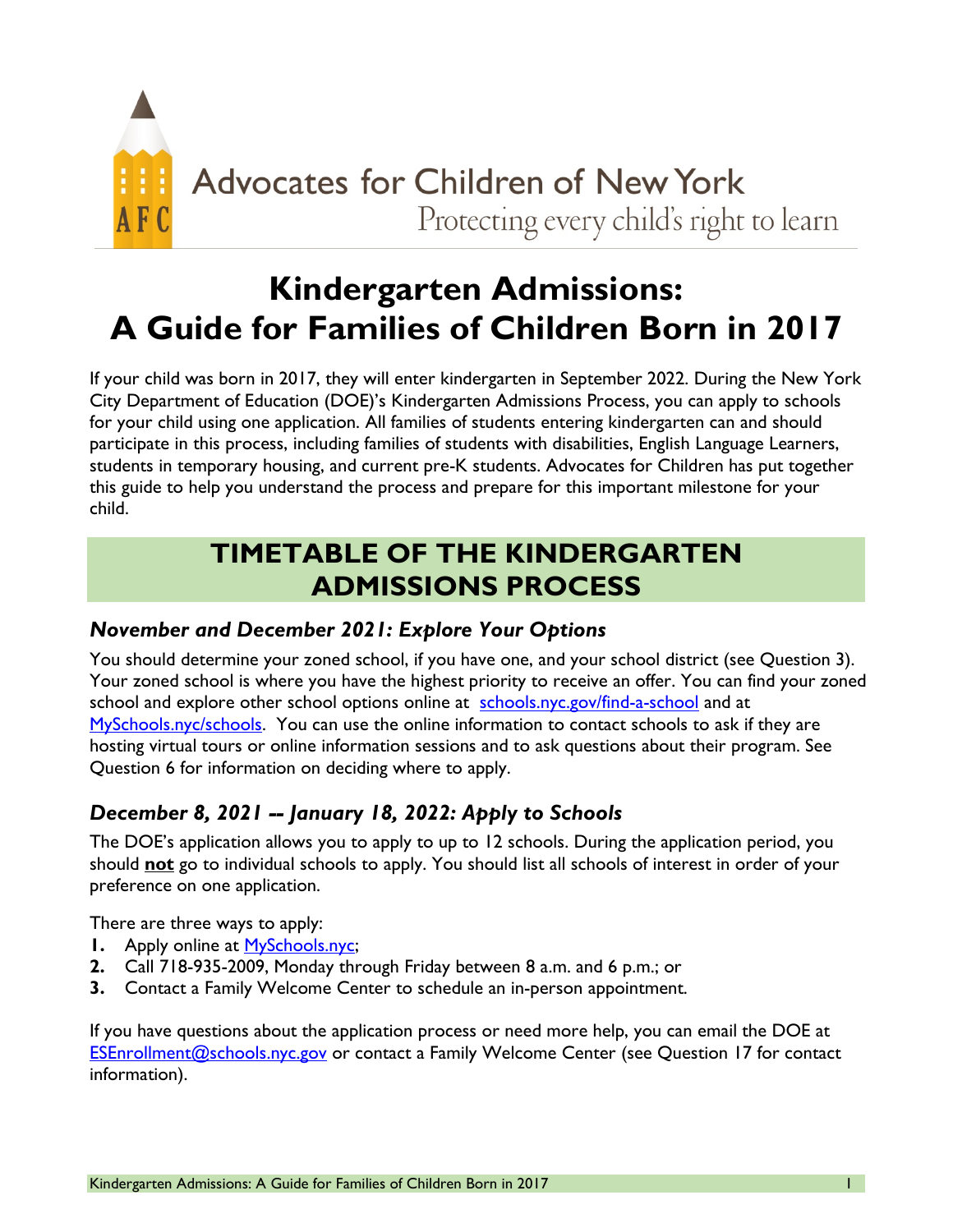

# **Kindergarten Admissions: A Guide for Families of Children Born in 2017**

If your child was born in 2017, they will enter kindergarten in September 2022. During the New York City Department of Education (DOE)'s Kindergarten Admissions Process, you can apply to schools for your child using one application. All families of students entering kindergarten can and should participate in this process, including families of students with disabilities, English Language Learners, students in temporary housing, and current pre-K students. Advocates for Children has put together this guide to help you understand the process and prepare for this important milestone for your child.

# **TIMETABLE OF THE KINDERGARTEN ADMISSIONS PROCESS**

#### *November and December 2021: Explore Your Options*

You should determine your zoned school, if you have one, and your school district (see Question 3). Your zoned school is where you have the highest priority to receive an offer. You can find your zoned school and explore other school options online at [schools.nyc.gov/find-a-school](https://www.schools.nyc.gov/find-a-school) and at [MySchools.nyc/schools.](https://www.myschools.nyc/schools/) You can use the online information to contact schools to ask if they are hosting virtual tours or online information sessions and to ask questions about their program. See Question 6 for information on deciding where to apply.

## *December 8, 2021 -- January 18, 2022: Apply to Schools*

The DOE's application allows you to apply to up to 12 schools. During the application period, you should **not** go to individual schools to apply. You should list all schools of interest in order of your preference on one application.

There are three ways to apply:

- **1.** Apply online at [MySchools.nyc;](https://www.myschools.nyc/)
- **2.** Call 718-935-2009, Monday through Friday between 8 a.m. and 6 p.m.; or
- **3.** Contact a Family Welcome Center to schedule an in-person appointment.

If you have questions about the application process or need more help, you can email the DOE at [ESEnrollment@schools.nyc.gov](mailto:ESEnrollment@schools.nyc.gov) or contact a Family Welcome Center (see Question 17 for contact information).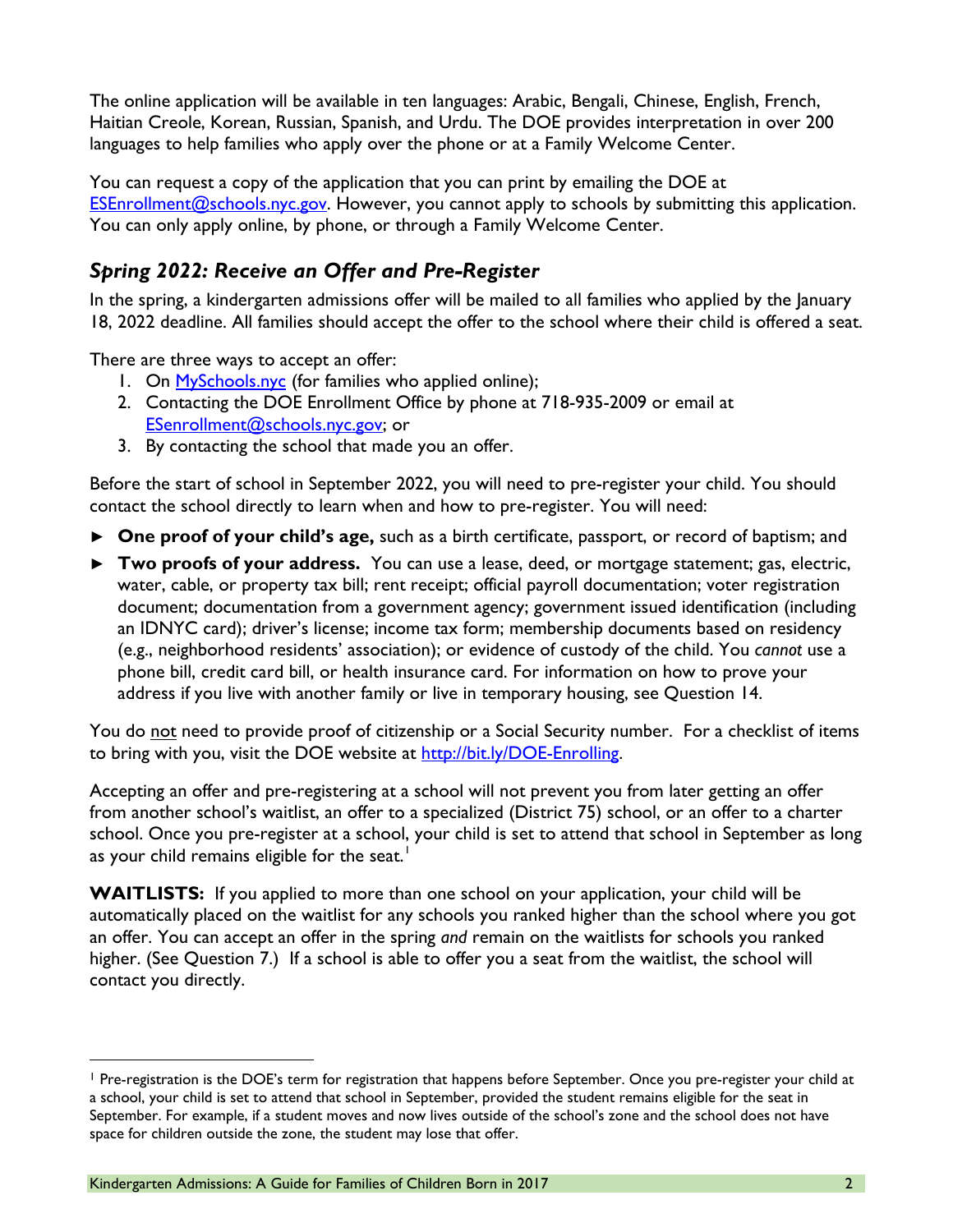The online application will be available in ten languages: Arabic, Bengali, Chinese, English, French, Haitian Creole, Korean, Russian, Spanish, and Urdu. The DOE provides interpretation in over 200 languages to help families who apply over the phone or at a Family Welcome Center.

You can request a copy of the application that you can print by emailing the DOE at [ESEnrollment@schools.nyc.gov.](mailto:ESEnrollment@schools.nyc.gov) However, you cannot apply to schools by submitting this application. You can only apply online, by phone, or through a Family Welcome Center.

#### *Spring 2022: Receive an Offer and Pre-Register*

In the spring, a kindergarten admissions offer will be mailed to all families who applied by the January 18, 2022 deadline. All families should accept the offer to the school where their child is offered a seat.

There are three ways to accept an offer:

- 1. On [MySchools.nyc](http://www.myschools.nyc/) (for families who applied online);
- 2. Contacting the DOE Enrollment Office by phone at 718-935-2009 or email at [ESenrollment@schools.nyc.gov;](mailto:ESenrollment@schools.nyc.gov) or
- 3. By contacting the school that made you an offer.

Before the start of school in September 2022, you will need to pre-register your child. You should contact the school directly to learn when and how to pre-register. You will need:

- **► One proof of your child's age,** such as a birth certificate, passport, or record of baptism; and
- **► Two proofs of your address.** You can use a lease, deed, or mortgage statement; gas, electric, water, cable, or property tax bill; rent receipt; official payroll documentation; voter registration document; documentation from a government agency; government issued identification (including an IDNYC card); driver's license; income tax form; membership documents based on residency (e.g., neighborhood residents' association); or evidence of custody of the child. You *cannot* use a phone bill, credit card bill, or health insurance card. For information on how to prove your address if you live with another family or live in temporary housing, see Question 14.

You do not need to provide proof of citizenship or a Social Security number. For a checklist of items to bring with you, visit the DOE website at [http://bit.ly/DOE-Enrolling.](http://bit.ly/DOE-Enrolling)

Accepting an offer and pre-registering at a school will not prevent you from later getting an offer from another school's waitlist, an offer to a specialized (District 75) school, or an offer to a charter school. Once you pre-register at a school, your child is set to attend that school in September as long as your child remains eligible for the seat.<sup>[1](#page-1-0)</sup>

**WAITLISTS:** If you applied to more than one school on your application, your child will be automatically placed on the waitlist for any schools you ranked higher than the school where you got an offer. You can accept an offer in the spring *and* remain on the waitlists for schools you ranked higher. (See Question 7.) If a school is able to offer you a seat from the waitlist, the school will contact you directly.

<span id="page-1-0"></span><sup>&</sup>lt;sup>1</sup> Pre-registration is the DOE's term for registration that happens before September. Once you pre-register your child at a school, your child is set to attend that school in September, provided the student remains eligible for the seat in September. For example, if a student moves and now lives outside of the school's zone and the school does not have space for children outside the zone, the student may lose that offer.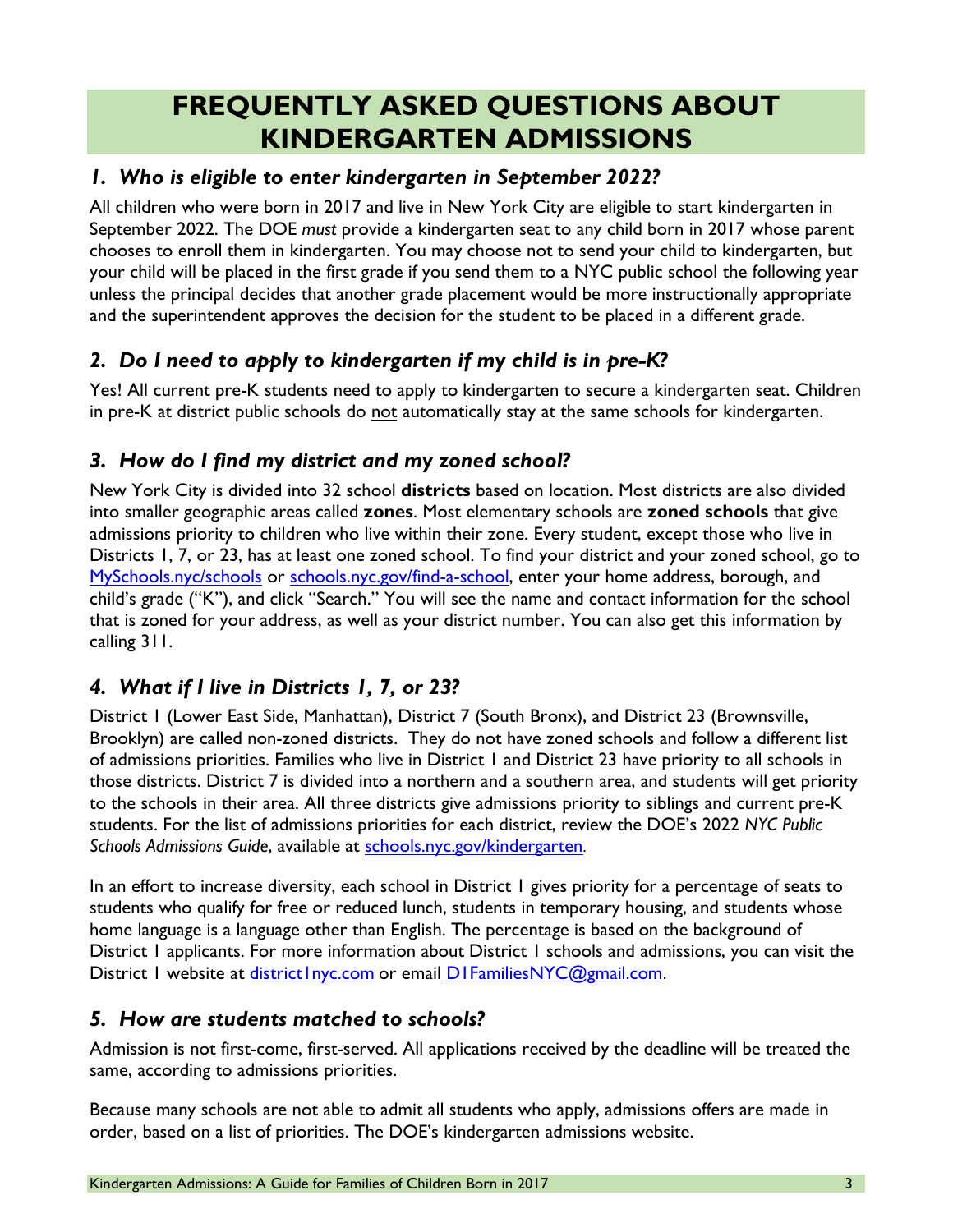# **FREQUENTLY ASKED QUESTIONS ABOUT KINDERGARTEN ADMISSIONS**

#### *1. Who is eligible to enter kindergarten in September 2022?*

All children who were born in 2017 and live in New York City are eligible to start kindergarten in September 2022. The DOE *must* provide a kindergarten seat to any child born in 2017 whose parent chooses to enroll them in kindergarten. You may choose not to send your child to kindergarten, but your child will be placed in the first grade if you send them to a NYC public school the following year unless the principal decides that another grade placement would be more instructionally appropriate and the superintendent approves the decision for the student to be placed in a different grade.

#### *2. Do I need to apply to kindergarten if my child is in pre-K?*

Yes! All current pre-K students need to apply to kindergarten to secure a kindergarten seat. Children in pre-K at district public schools do not automatically stay at the same schools for kindergarten.

#### *3. How do I find my district and my zoned school?*

New York City is divided into 32 school **districts** based on location. Most districts are also divided into smaller geographic areas called **zones**. Most elementary schools are **zoned schools** that give admissions priority to children who live within their zone. Every student, except those who live in Districts 1, 7, or 23, has at least one zoned school. To find your district and your zoned school, go to [MySchools.nyc/schools](https://www.myschools.nyc/schools/) or [schools.nyc.gov/find-a-school,](http://schools.nyc.gov/find-a-school) enter your home address, borough, and child's grade ("K"), and click "Search." You will see the name and contact information for the school that is zoned for your address, as well as your district number. You can also get this information by calling 311.

#### *4. What if I live in Districts 1, 7, or 23?*

District 1 (Lower East Side, Manhattan), District 7 (South Bronx), and District 23 (Brownsville, Brooklyn) are called non-zoned districts. They do not have zoned schools and follow a different list of admissions priorities. Families who live in District 1 and District 23 have priority to all schools in those districts. District 7 is divided into a northern and a southern area, and students will get priority to the schools in their area. All three districts give admissions priority to siblings and current pre-K students. For the list of admissions priorities for each district, review the DOE's 2022 *NYC Public*  Schools Admissions Guide, available at **schools.nyc.gov/kindergarten**.

In an effort to increase diversity, each school in District 1 gives priority for a percentage of seats to students who qualify for free or reduced lunch, students in temporary housing, and students whose home language is a language other than English. The percentage is based on the background of District 1 applicants. For more information about District 1 schools and admissions, you can visit the District I website at district Inyc[.](mailto:d1familiesnyc@gmail.com)com or email DIFamiliesNYC@gmail.com.

#### *5. How are students matched to schools?*

Admission is not first-come, first-served. All applications received by the deadline will be treated the same, according to admissions priorities.

Because many schools are not able to admit all students who apply, admissions offers are made in order, based on a list of priorities. The DOE's kindergarten admissions website.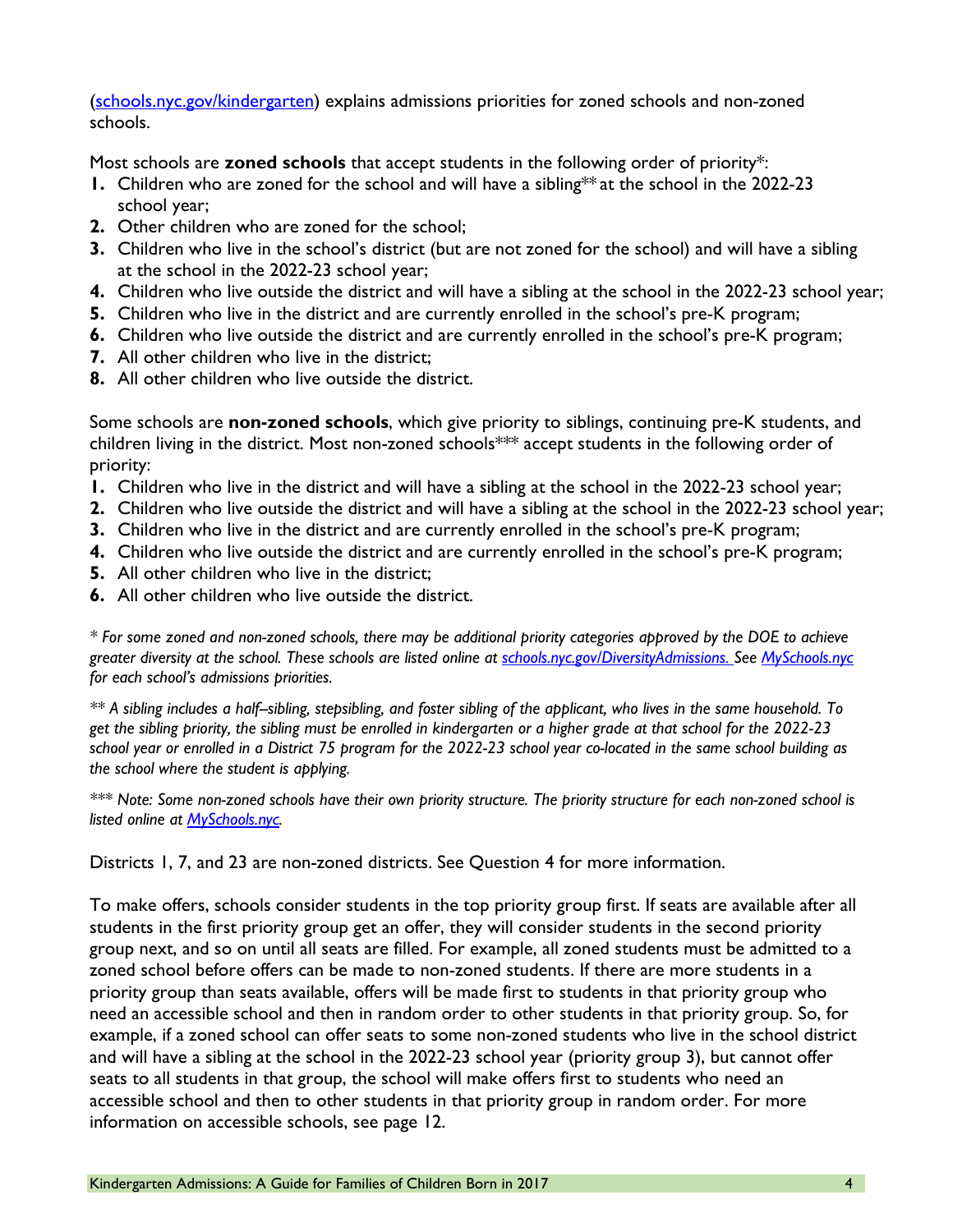[\(schools.nyc.gov/kindergarten\)](https://www.schools.nyc.gov/enrollment/enroll-grade-by-grade/kindergarten) explains admissions priorities for zoned schools and non-zoned schools.

Most schools are **zoned schools** that accept students in the following order of priority\*:

- **1.** Children who are zoned for the school and will have a sibling\*\* at the school in the 2022-23 school year;
- **2.** Other children who are zoned for the school;
- **3.** Children who live in the school's district (but are not zoned for the school) and will have a sibling at the school in the 2022-23 school year;
- **4.** Children who live outside the district and will have a sibling at the school in the 2022-23 school year;
- **5.** Children who live in the district and are currently enrolled in the school's pre-K program;
- **6.** Children who live outside the district and are currently enrolled in the school's pre-K program;
- **7.** All other children who live in the district;
- **8.** All other children who live outside the district.

Some schools are **non-zoned schools**, which give priority to siblings, continuing pre-K students, and children living in the district. Most non-zoned schools\*\*\* accept students in the following order of priority:

- **1.** Children who live in the district and will have a sibling at the school in the 2022-23 school year;
- **2.** Children who live outside the district and will have a sibling at the school in the 2022-23 school year;
- **3.** Children who live in the district and are currently enrolled in the school's pre-K program;
- **4.** Children who live outside the district and are currently enrolled in the school's pre-K program;
- **5.** All other children who live in the district;
- **6.** All other children who live outside the district.

*\* For some zoned and non-zoned schools, there may be additional priority categories approved by the DOE to achieve greater diversity at the school. These schools are listed online at [schools.nyc.gov/DiversityAdmissions.](http://www.schools.nyc.gov/DiversityAdmissions) See [MySchools.nyc](https://www.myschools.nyc/) for each school's admissions priorities.*

*\*\* A sibling includes a half--sibling, stepsibling, and foster sibling of the applicant, who lives in the same household. To get the sibling priority, the sibling must be enrolled in kindergarten or a higher grade at that school for the 2022-23 school year or enrolled in a District 75 program for the 2022-23 school year co-located in the same school building as the school where the student is applying.* 

*\*\*\* Note: Some non-zoned schools have their own priority structure. The priority structure for each non-zoned school is listed online at [MySchools.nyc.](https://www.myschools.nyc/)* 

Districts 1, 7, and 23 are non-zoned districts. See Question 4 for more information.

To make offers, schools consider students in the top priority group first. If seats are available after all students in the first priority group get an offer, they will consider students in the second priority group next, and so on until all seats are filled. For example, all zoned students must be admitted to a zoned school before offers can be made to non-zoned students. If there are more students in a priority group than seats available, offers will be made first to students in that priority group who need an accessible school and then in random order to other students in that priority group. So, for example, if a zoned school can offer seats to some non-zoned students who live in the school district and will have a sibling at the school in the 2022-23 school year (priority group 3), but cannot offer seats to all students in that group, the school will make offers first to students who need an accessible school and then to other students in that priority group in random order. For more information on accessible schools, see page 12.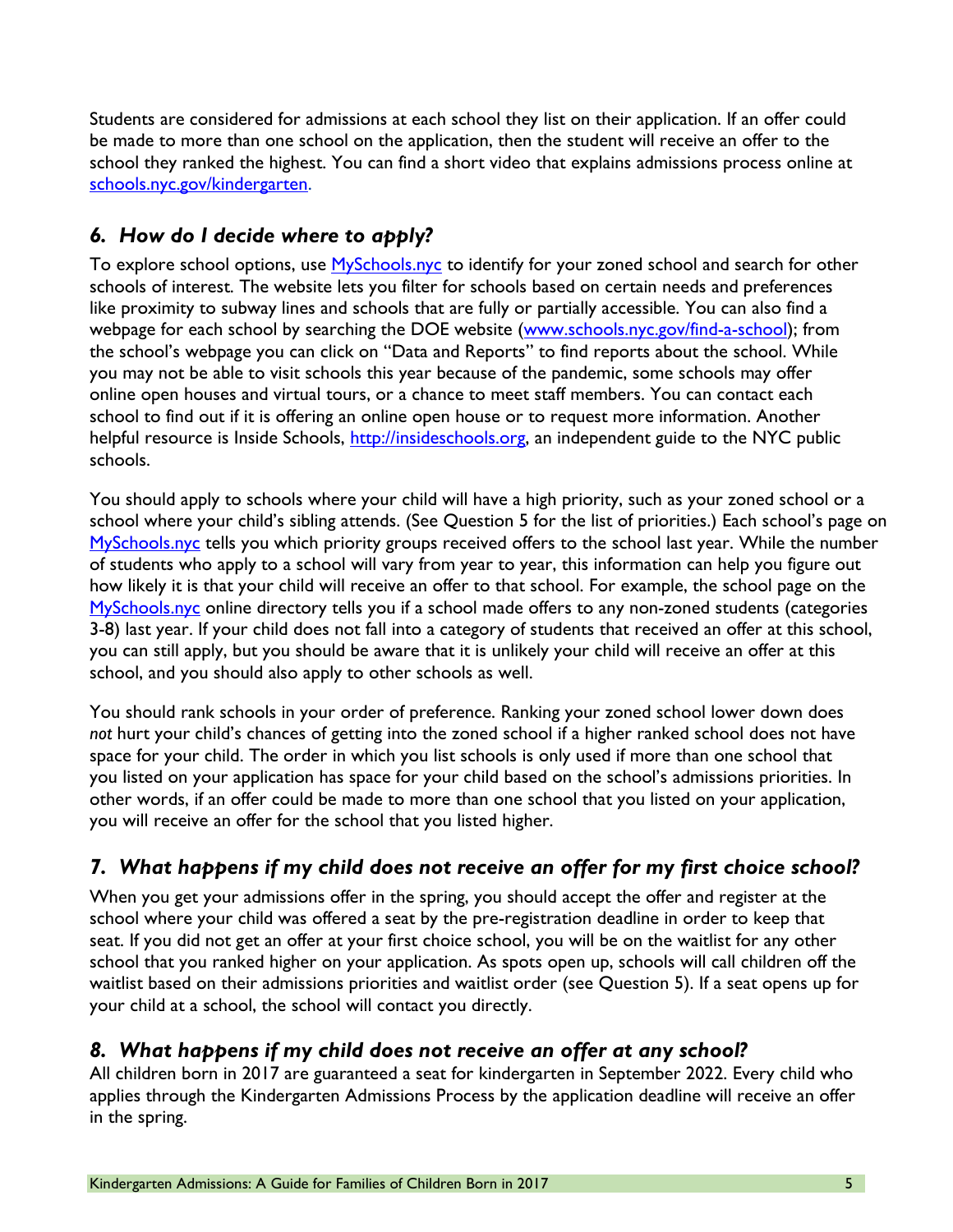Students are considered for admissions at each school they list on their application. If an offer could be made to more than one school on the application, then the student will receive an offer to the school they ranked the highest. You can find a short video that explains admissions process online at [schools.nyc.gov/kindergarten.](http://www.schools.nyc.gov/kindergarten)

#### *6. How do I decide where to apply?*

To explore school options, use **MySchools.nyc** to identify for your zoned school and search for other schools of interest. The website lets you filter for schools based on certain needs and preferences like proximity to subway lines and schools that are fully or partially accessible. You can also find a webpage for each school by searching the DOE website [\(www.schools.nyc.gov/find-a-school\)](http://www.schools.nyc.gov/find-a-school); from the school's webpage you can click on "Data and Reports" to find reports about the school. While you may not be able to visit schools this year because of the pandemic, some schools may offer online open houses and virtual tours, or a chance to meet staff members. You can contact each school to find out if it is offering an online open house or to request more information. Another helpful resource is Inside Schools, [http://insideschools.org,](http://insideschools.org/) an independent guide to the NYC public schools.

You should apply to schools where your child will have a high priority, such as your zoned school or a school where your child's sibling attends. (See Question 5 for the list of priorities.) Each school's page on [MySchools.nyc](https://www.myschools.nyc/) tells you which priority groups received offers to the school last year. While the number of students who apply to a school will vary from year to year, this information can help you figure out how likely it is that your child will receive an offer to that school. For example, the school page on the [MySchools.nyc](https://www.myschools.nyc/) online directory tells you if a school made offers to any non-zoned students (categories 3-8) last year. If your child does not fall into a category of students that received an offer at this school, you can still apply, but you should be aware that it is unlikely your child will receive an offer at this school, and you should also apply to other schools as well.

You should rank schools in your order of preference. Ranking your zoned school lower down does *not* hurt your child's chances of getting into the zoned school if a higher ranked school does not have space for your child. The order in which you list schools is only used if more than one school that you listed on your application has space for your child based on the school's admissions priorities. In other words, if an offer could be made to more than one school that you listed on your application, you will receive an offer for the school that you listed higher.

## *7. What happens if my child does not receive an offer for my first choice school?*

When you get your admissions offer in the spring, you should accept the offer and register at the school where your child was offered a seat by the pre-registration deadline in order to keep that seat. If you did not get an offer at your first choice school, you will be on the waitlist for any other school that you ranked higher on your application. As spots open up, schools will call children off the waitlist based on their admissions priorities and waitlist order (see Question 5). If a seat opens up for your child at a school, the school will contact you directly.

#### *8. What happens if my child does not receive an offer at any school?*

All children born in 2017 are guaranteed a seat for kindergarten in September 2022. Every child who applies through the Kindergarten Admissions Process by the application deadline will receive an offer in the spring.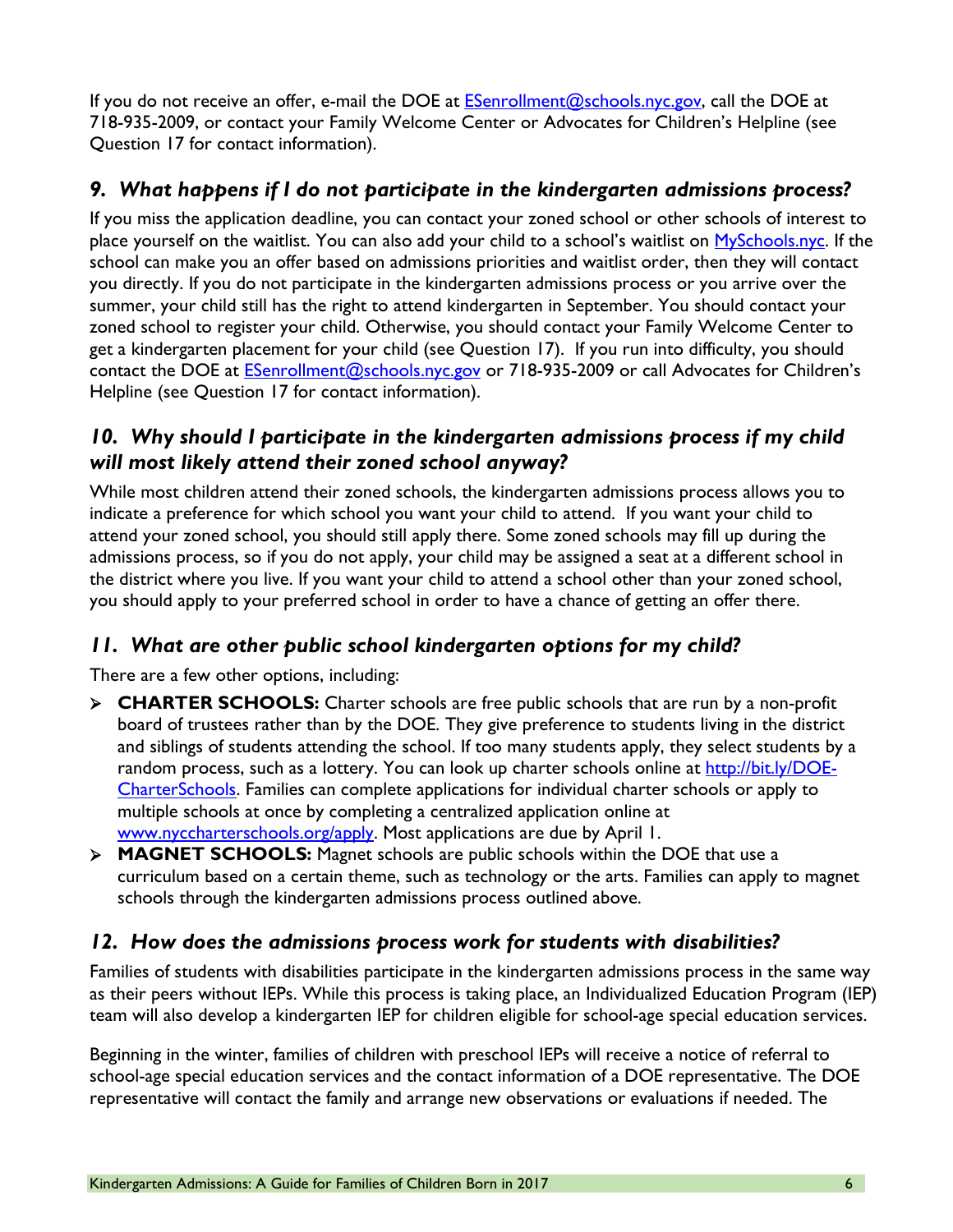If you do not receive an offer, e-mail the DOE at  $E$ Senrollment@schools.nyc.gov, call the DOE at 718-935-2009, or contact your Family Welcome Center or Advocates for Children's Helpline (see Question 17 for contact information).

#### *9. What happens if I do not participate in the kindergarten admissions process?*

If you miss the application deadline, you can contact your zoned school or other schools of interest to place yourself on the waitlist. You can also add your child to a school's waitlist on [MySchools.nyc.](https://www.myschools.nyc/en/) If the school can make you an offer based on admissions priorities and waitlist order, then they will contact you directly. If you do not participate in the kindergarten admissions process or you arrive over the summer, your child still has the right to attend kindergarten in September. You should contact your zoned school to register your child. Otherwise, you should contact your Family Welcome Center to get a kindergarten placement for your child (see Question 17). If you run into difficulty, you should contact the DOE at [ESenrollment@schools.nyc.gov](mailto:ESenrollment@schools.nyc.gov) or 718-935-2009 or call Advocates for Children's Helpline (see Question 17 for contact information).

#### *10. Why should I participate in the kindergarten admissions process if my child will most likely attend their zoned school anyway?*

While most children attend their zoned schools, the kindergarten admissions process allows you to indicate a preference for which school you want your child to attend. If you want your child to attend your zoned school, you should still apply there. Some zoned schools may fill up during the admissions process, so if you do not apply, your child may be assigned a seat at a different school in the district where you live. If you want your child to attend a school other than your zoned school, you should apply to your preferred school in order to have a chance of getting an offer there.

#### *11. What are other public school kindergarten options for my child?*

There are a few other options, including:

- **CHARTER SCHOOLS:** Charter schools are free public schools that are run by a non-profit board of trustees rather than by the DOE. They give preference to students living in the district and siblings of students attending the school. If too many students apply, they select students by a random process, such as a lottery. You can look up charter schools online at [http://bit.ly/DOE-](http://bit.ly/DOE-CharterSchools)[CharterSchools.](http://bit.ly/DOE-CharterSchools) Families can complete applications for individual charter schools or apply to multiple schools at once by completing a centralized application online at [www.nyccharterschools.org/apply.](http://www.nyccharterschools.org/apply) Most applications are due by April 1.
- **MAGNET SCHOOLS:** Magnet schools are public schools within the DOE that use a curriculum based on a certain theme, such as technology or the arts. Families can apply to magnet schools through the kindergarten admissions process outlined above.

#### *12. How does the admissions process work for students with disabilities?*

Families of students with disabilities participate in the kindergarten admissions process in the same way as their peers without IEPs. While this process is taking place, an Individualized Education Program (IEP) team will also develop a kindergarten IEP for children eligible for school-age special education services.

Beginning in the winter, families of children with preschool IEPs will receive a notice of referral to school-age special education services and the contact information of a DOE representative. The DOE representative will contact the family and arrange new observations or evaluations if needed. The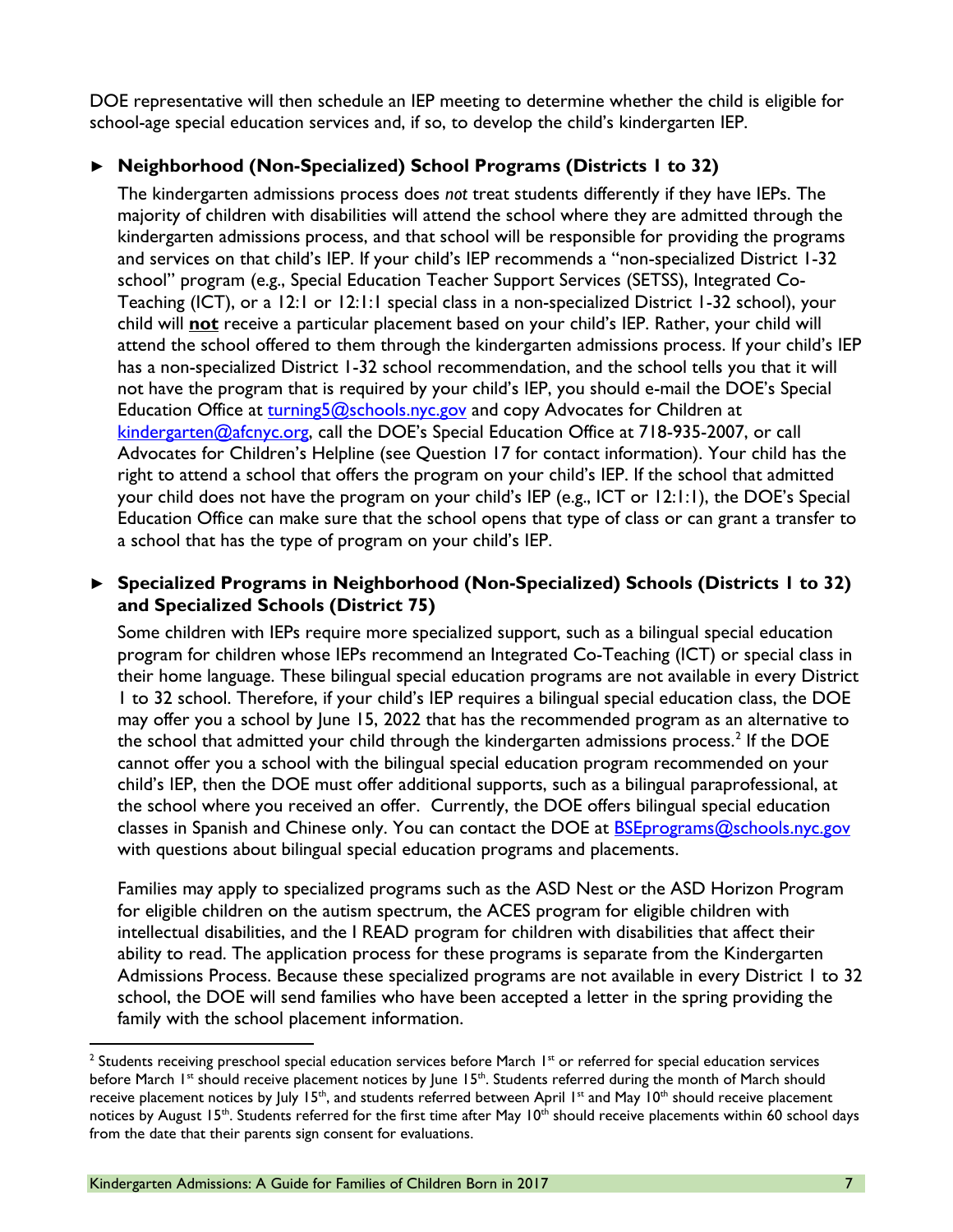DOE representative will then schedule an IEP meeting to determine whether the child is eligible for school-age special education services and, if so, to develop the child's kindergarten IEP.

#### **► Neighborhood (Non-Specialized) School Programs (Districts 1 to 32)**

The kindergarten admissions process does *not* treat students differently if they have IEPs. The majority of children with disabilities will attend the school where they are admitted through the kindergarten admissions process, and that school will be responsible for providing the programs and services on that child's IEP. If your child's IEP recommends a "non-specialized District 1-32 school" program (e.g., Special Education Teacher Support Services (SETSS), Integrated Co-Teaching (ICT), or a 12:1 or 12:1:1 special class in a non-specialized District 1-32 school), your child will **not** receive a particular placement based on your child's IEP. Rather, your child will attend the school offered to them through the kindergarten admissions process. If your child's IEP has a non-specialized District 1-32 school recommendation, and the school tells you that it will not have the program that is required by your child's IEP, you should e-mail the DOE's Special Education Office at [turning5@schools.nyc.gov](mailto:turning5@schools.nyc.gov) and copy Advocates for Children at [kindergarten@afcnyc.org,](mailto:kindergarten@afcnyc.org) call the DOE's Special Education Office at 718-935-2007, or call Advocates for Children's Helpline (see Question 17 for contact information). Your child has the right to attend a school that offers the program on your child's IEP. If the school that admitted your child does not have the program on your child's IEP (e.g., ICT or 12:1:1), the DOE's Special Education Office can make sure that the school opens that type of class or can grant a transfer to a school that has the type of program on your child's IEP.

#### **► Specialized Programs in Neighborhood (Non-Specialized) Schools (Districts 1 to 32) and Specialized Schools (District 75)**

Some children with IEPs require more specialized support, such as a bilingual special education program for children whose IEPs recommend an Integrated Co-Teaching (ICT) or special class in their home language. These bilingual special education programs are not available in every District 1 to 32 school. Therefore, if your child's IEP requires a bilingual special education class, the DOE may offer you a school by June 15, 2022 that has the recommended program as an alternative to the school that admitted your child through the kindergarten admissions process.<sup>[2](#page-6-0)</sup> If the DOE cannot offer you a school with the bilingual special education program recommended on your child's IEP, then the DOE must offer additional supports, such as a bilingual paraprofessional, at the school where you received an offer. Currently, the DOE offers bilingual special education classes in Spanish and Chinese only. You can contact the DOE at [BSEprograms@schools.nyc.gov](mailto:BSEprograms@schools.nyc.gov) with questions about bilingual special education programs and placements.

Families may apply to specialized programs such as the ASD Nest or the ASD Horizon Program for eligible children on the autism spectrum, the ACES program for eligible children with intellectual disabilities, and the I READ program for children with disabilities that affect their ability to read. The application process for these programs is separate from the Kindergarten Admissions Process. Because these specialized programs are not available in every District 1 to 32 school, the DOE will send families who have been accepted a letter in the spring providing the family with the school placement information.

<span id="page-6-0"></span> $^2$  Students receiving preschool special education services before March 1st or referred for special education services before March 1<sup>st</sup> should receive placement notices by June 15<sup>th</sup>. Students referred during the month of March should receive placement notices by July 15<sup>th</sup>, and students referred between April 1<sup>st</sup> and May 10<sup>th</sup> should receive placement notices by August 15<sup>th</sup>. Students referred for the first time after May 10<sup>th</sup> should receive placements within 60 school days from the date that their parents sign consent for evaluations.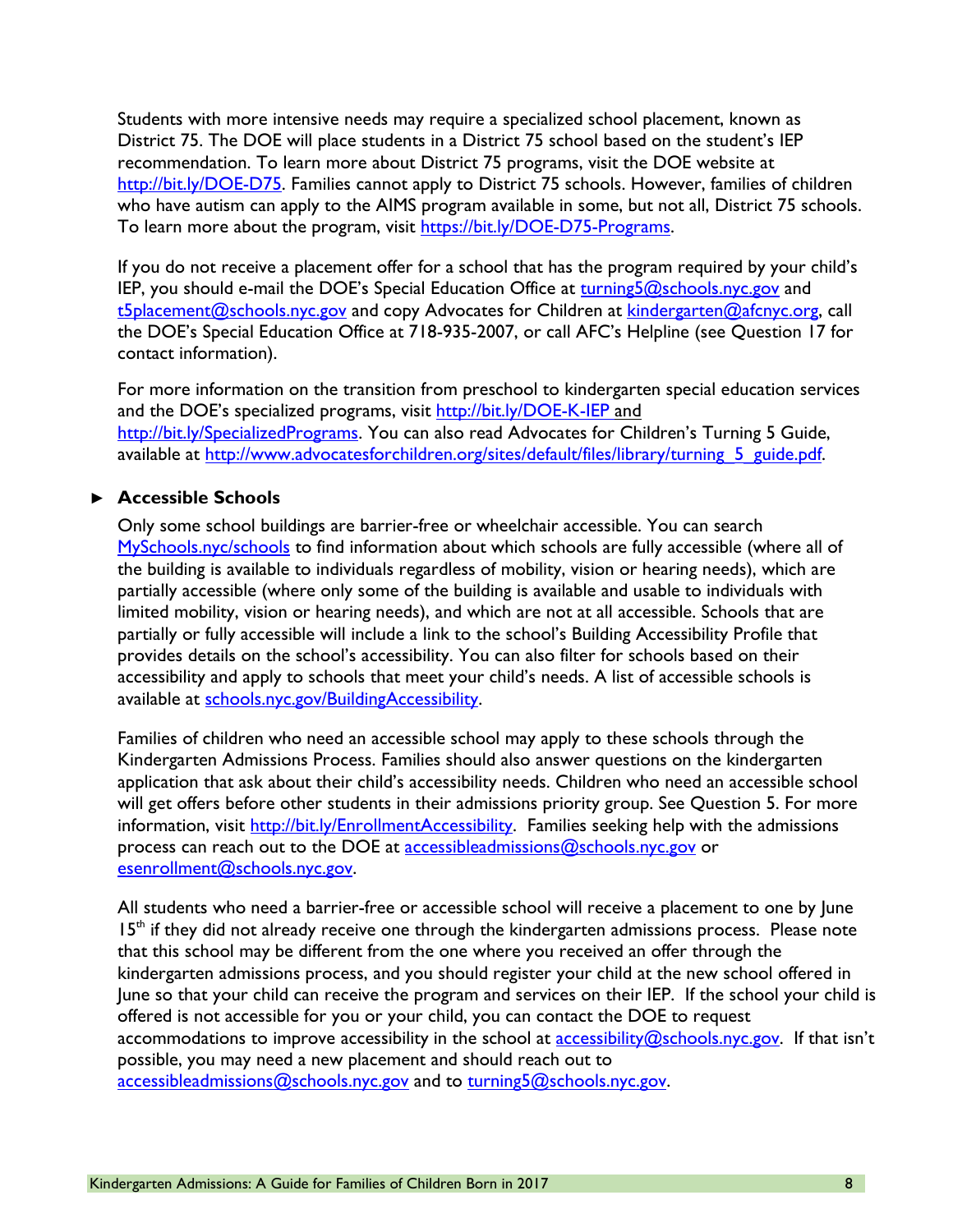Students with more intensive needs may require a specialized school placement, known as District 75. The DOE will place students in a District 75 school based on the student's IEP recommendation. To learn more about District 75 programs, visit the DOE website at [http://bit.ly/DOE-D75.](http://bit.ly/DOE-D75) Families cannot apply to District 75 schools. However, families of children who have autism can apply to the AIMS program available in some, but not all, District 75 schools. To learn more about the program, visit [https://bit.ly/DOE-D75-Programs.](https://bit.ly/DOE-D75-Programs)

If you do not receive a placement offer for a school that has the program required by your child's IEP, you should e-mail the DOE's Special Education Office at [turning5@schools.nyc.gov](mailto:turning5@schools.nyc.gov) and [t5placement@schools.nyc.gov](mailto:t5placement@schools.nyc.gov) and copy Advocates for Children at [kindergarten@afcnyc.org,](mailto:kindergarten@afcnyc.org) call the DOE's Special Education Office at 718-935-2007, or call AFC's Helpline (see Question 17 for contact information).

For more information on the transition from preschool to kindergarten special education services and the DOE's specialized programs, visit<http://bit.ly/DOE-K-IEP> and [http://bit.ly/SpecializedPrograms.](http://bit.ly/SpecializedPrograms) You can also read Advocates for Children's Turning 5 Guide, available at http://www.advocatesforchildren.org/sites/default/files/library/turning 5 guide.pdf.

#### **► Accessible Schools**

Only some school buildings are barrier-free or wheelchair accessible. You can search [MySchools.nyc/schools](https://www.myschools.nyc/schools/) to find information about which schools are fully accessible (where all of the building is available to individuals regardless of mobility, vision or hearing needs), which are partially accessible (where only some of the building is available and usable to individuals with limited mobility, vision or hearing needs), and which are not at all accessible. Schools that are partially or fully accessible will include a link to the school's Building Accessibility Profile that provides details on the school's accessibility. You can also filter for schools based on their accessibility and apply to schools that meet your child's needs. A list of accessible schools is available at schools.nyc.gov/BuildingAccessibility.

Families of children who need an accessible school may apply to these schools through the Kindergarten Admissions Process. Families should also answer questions on the kindergarten application that ask about their child's accessibility needs. Children who need an accessible school will get offers before other students in their admissions priority group. See Question 5. For more information, visit [http://bit.ly/EnrollmentAccessibility.](http://bit.ly/EnrollmentAccessibility) Families seeking help with the admissions process can reach out to the DOE at [accessibleadmissions@schools.nyc.gov](mailto:accessibleadmissions@schools.nyc.gov) or [esenrollment@schools.nyc.gov.](mailto:esenrollment@schools.nyc.gov)

All students who need a barrier-free or accessible school will receive a placement to one by June  $15<sup>th</sup>$  if they did not already receive one through the kindergarten admissions process. Please note that this school may be different from the one where you received an offer through the kindergarten admissions process, and you should register your child at the new school offered in June so that your child can receive the program and services on their IEP. If the school your child is offered is not accessible for you or your child, you can contact the DOE to request accommodations to improve accessibility in the school at [accessibility@schools.nyc.gov.](mailto:accessibility@schools.nyc.gov) If that isn't possible, you may need a new placement and should reach out to [accessibleadmissions@schools.nyc.gov](mailto:accessibleadmissions@schools.nyc.gov) and to turning5@schools.nyc.gov.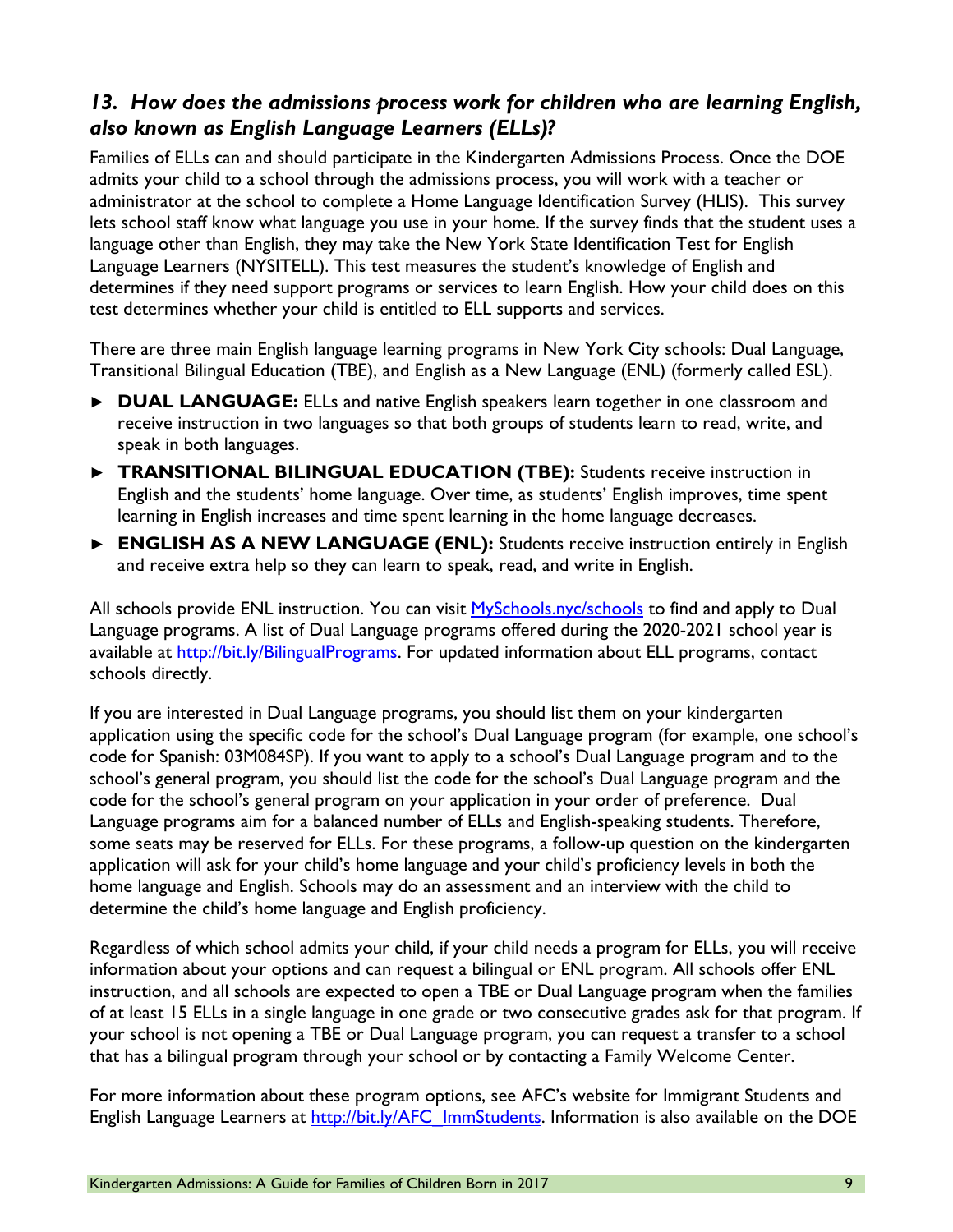#### *13. How does the admissions process work for children who are learning English, also known as English Language Learners (ELLs)?*

Families of ELLs can and should participate in the Kindergarten Admissions Process. Once the DOE admits your child to a school through the admissions process, you will work with a teacher or administrator at the school to complete a Home Language Identification Survey (HLIS). This survey lets school staff know what language you use in your home. If the survey finds that the student uses a language other than English, they may take the New York State Identification Test for English Language Learners (NYSITELL). This test measures the student's knowledge of English and determines if they need support programs or services to learn English. How your child does on this test determines whether your child is entitled to ELL supports and services.

There are three main English language learning programs in New York City schools: Dual Language, Transitional Bilingual Education (TBE), and English as a New Language (ENL) (formerly called ESL).

- **► DUAL LANGUAGE:** ELLs and native English speakers learn together in one classroom and receive instruction in two languages so that both groups of students learn to read, write, and speak in both languages.
- **► TRANSITIONAL BILINGUAL EDUCATION (TBE):** Students receive instruction in English and the students' home language. Over time, as students' English improves, time spent learning in English increases and time spent learning in the home language decreases.
- **► ENGLISH AS A NEW LANGUAGE (ENL):** Students receive instruction entirely in English and receive extra help so they can learn to speak, read, and write in English.

All schools provide ENL instruction. You can visit [MySchools.nyc/schools](https://www.myschools.nyc/schools/) to find and apply to Dual Language programs. A list of Dual Language programs offered during the 2020-2021 school year is available at [http://bit.ly/BilingualPrograms.](http://bit.ly/BilingualPrograms) For updated information about ELL programs, contact schools directly.

If you are interested in Dual Language programs, you should list them on your kindergarten application using the specific code for the school's Dual Language program (for example, one school's code for Spanish: 03M084SP). If you want to apply to a school's Dual Language program and to the school's general program, you should list the code for the school's Dual Language program and the code for the school's general program on your application in your order of preference. Dual Language programs aim for a balanced number of ELLs and English-speaking students. Therefore, some seats may be reserved for ELLs. For these programs, a follow-up question on the kindergarten application will ask for your child's home language and your child's proficiency levels in both the home language and English. Schools may do an assessment and an interview with the child to determine the child's home language and English proficiency.

Regardless of which school admits your child, if your child needs a program for ELLs, you will receive information about your options and can request a bilingual or ENL program. All schools offer ENL instruction, and all schools are expected to open a TBE or Dual Language program when the families of at least 15 ELLs in a single language in one grade or two consecutive grades ask for that program. If your school is not opening a TBE or Dual Language program, you can request a transfer to a school that has a bilingual program through your school or by contacting a Family Welcome Center.

For more information about these program options, see AFC's website for Immigrant Students and English Language Learners at [http://bit.ly/AFC\\_ImmStudents.](http://bit.ly/AFC_ImmStudents) Information is also available on the DOE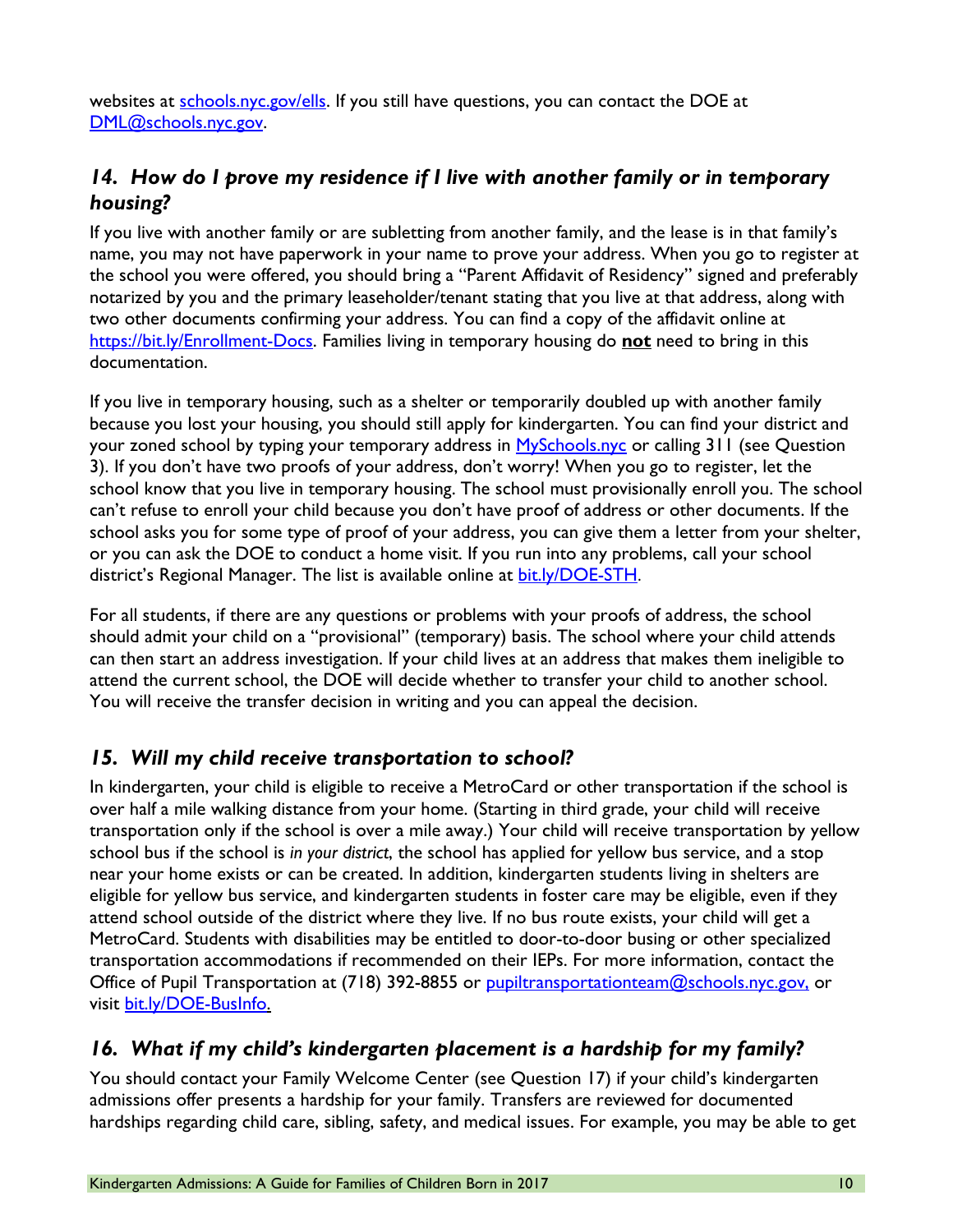websites at [schools.nyc.gov/ells.](https://schools.nyc.gov/ells) If you still have questions, you can contact the DOE at [DML@schools.nyc.gov.](mailto:DML@schools.nyc.gov)

### *14. How do I prove my residence if I live with another family or in temporary housing?*

If you live with another family or are subletting from another family, and the lease is in that family's name, you may not have paperwork in your name to prove your address. When you go to register at the school you were offered, you should bring a "Parent Affidavit of Residency" signed and preferably notarized by you and the primary leaseholder/tenant stating that you live at that address, along with two other documents confirming your address. You can find a copy of the affidavit online at [https://bit.ly/Enrollment-Docs.](https://bit.ly/Enrollment-Docs) Families living in temporary housing do **not** need to bring in this documentation.

If you live in temporary housing, such as a shelter or temporarily doubled up with another family because you lost your housing, you should still apply for kindergarten. You can find your district and your zoned school by typing your temporary address in [MySchools.nyc](http://www.myschools.nyc/) or calling 311 (see Question 3). If you don't have two proofs of your address, don't worry! When you go to register, let the school know that you live in temporary housing. The school must provisionally enroll you. The school can't refuse to enroll your child because you don't have proof of address or other documents. If the school asks you for some type of proof of your address, you can give them a letter from your shelter, or you can ask the DOE to conduct a home visit. If you run into any problems, call your school district's Regional Manager. The list is available online at [bit.ly/DOE-STH](http://www.bit.ly/DOE-STH).

For all students, if there are any questions or problems with your proofs of address, the school should admit your child on a "provisional" (temporary) basis. The school where your child attends can then start an address investigation. If your child lives at an address that makes them ineligible to attend the current school, the DOE will decide whether to transfer your child to another school. You will receive the transfer decision in writing and you can appeal the decision.

#### *15. Will my child receive transportation to school?*

In kindergarten, your child is eligible to receive a MetroCard or other transportation if the school is over half a mile walking distance from your home. (Starting in third grade, your child will receive transportation only if the school is over a mile away.) Your child will receive transportation by yellow school bus if the school is *in your district*, the school has applied for yellow bus service, and a stop near your home exists or can be created. In addition, kindergarten students living in shelters are eligible for yellow bus service, and kindergarten students in foster care may be eligible, even if they attend school outside of the district where they live. If no bus route exists, your child will get a MetroCard. Students with disabilities may be entitled to door-to-door busing or other specialized transportation accommodations if recommended on their IEPs. For more information, contact the Office of Pupil Transportation at (718) 392-8855 or <u>pupiltransportationteam@schools.nyc.gov.</u> or visit [bit.ly/DOE-BusInfo.](http://bit.ly/DOE-BusInfo)

#### *16. What if my child's kindergarten placement is a hardship for my family?*

You should contact your Family Welcome Center (see Question 17) if your child's kindergarten admissions offer presents a hardship for your family. Transfers are reviewed for documented hardships regarding child care, sibling, safety, and medical issues. For example, you may be able to get